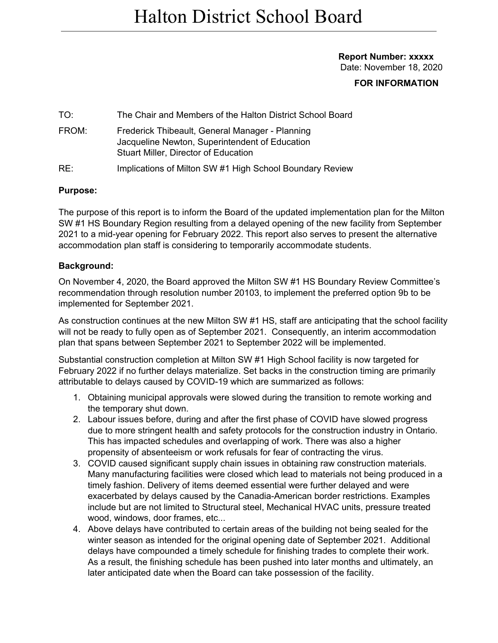#### **Report Number: xxxxx** Date: November 18, 2020

## **FOR INFORMATION**

TO: The Chair and Members of the Halton District School Board FROM: Frederick Thibeault, General Manager - Planning Jacqueline Newton, Superintendent of Education Stuart Miller, Director of Education RE: Implications of Milton SW #1 High School Boundary Review

#### **Purpose:**

The purpose of this report is to inform the Board of the updated implementation plan for the Milton SW #1 HS Boundary Region resulting from a delayed opening of the new facility from September 2021 to a mid-year opening for February 2022. This report also serves to present the alternative accommodation plan staff is considering to temporarily accommodate students.

#### **Background:**

On November 4, 2020, the Board approved the Milton SW #1 HS Boundary Review Committee's recommendation through resolution number 20103, to implement the preferred option 9b to be implemented for September 2021.

As construction continues at the new Milton SW #1 HS, staff are anticipating that the school facility will not be ready to fully open as of September 2021. Consequently, an interim accommodation plan that spans between September 2021 to September 2022 will be implemented.

Substantial construction completion at Milton SW #1 High School facility is now targeted for February 2022 if no further delays materialize. Set backs in the construction timing are primarily attributable to delays caused by COVID-19 which are summarized as follows:

- 1. Obtaining municipal approvals were slowed during the transition to remote working and the temporary shut down.
- 2. Labour issues before, during and after the first phase of COVID have slowed progress due to more stringent health and safety protocols for the construction industry in Ontario. This has impacted schedules and overlapping of work. There was also a higher propensity of absenteeism or work refusals for fear of contracting the virus.
- 3. COVID caused significant supply chain issues in obtaining raw construction materials. Many manufacturing facilities were closed which lead to materials not being produced in a timely fashion. Delivery of items deemed essential were further delayed and were exacerbated by delays caused by the Canadia-American border restrictions. Examples include but are not limited to Structural steel, Mechanical HVAC units, pressure treated wood, windows, door frames, etc...
- 4. Above delays have contributed to certain areas of the building not being sealed for the winter season as intended for the original opening date of September 2021. Additional delays have compounded a timely schedule for finishing trades to complete their work. As a result, the finishing schedule has been pushed into later months and ultimately, an later anticipated date when the Board can take possession of the facility.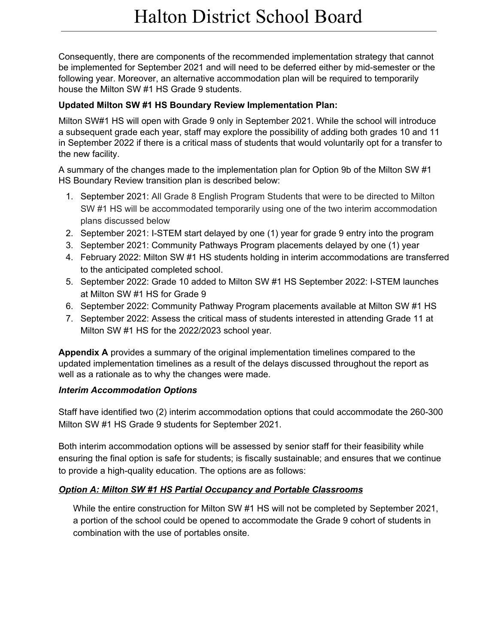Consequently, there are components of the recommended implementation strategy that cannot be implemented for September 2021 and will need to be deferred either by mid-semester or the following year. Moreover, an alternative accommodation plan will be required to temporarily house the Milton SW #1 HS Grade 9 students.

## **Updated Milton SW #1 HS Boundary Review Implementation Plan:**

Milton SW#1 HS will open with Grade 9 only in September 2021. While the school will introduce a subsequent grade each year, staff may explore the possibility of adding both grades 10 and 11 in September 2022 if there is a critical mass of students that would voluntarily opt for a transfer to the new facility.

A summary of the changes made to the implementation plan for Option 9b of the Milton SW #1 HS Boundary Review transition plan is described below:

- 1. September 2021: All Grade 8 English Program Students that were to be directed to Milton SW #1 HS will be accommodated temporarily using one of the two interim accommodation plans discussed below
- 2. September 2021: I-STEM start delayed by one (1) year for grade 9 entry into the program
- 3. September 2021: Community Pathways Program placements delayed by one (1) year
- 4. February 2022: Milton SW #1 HS students holding in interim accommodations are transferred to the anticipated completed school.
- 5. September 2022: Grade 10 added to Milton SW #1 HS September 2022: I-STEM launches at Milton SW #1 HS for Grade 9
- 6. September 2022: Community Pathway Program placements available at Milton SW #1 HS
- 7. September 2022: Assess the critical mass of students interested in attending Grade 11 at Milton SW #1 HS for the 2022/2023 school year.

**Appendix A** provides a summary of the original implementation timelines compared to the updated implementation timelines as a result of the delays discussed throughout the report as well as a rationale as to why the changes were made.

## *Interim Accommodation Options*

Staff have identified two (2) interim accommodation options that could accommodate the 260-300 Milton SW #1 HS Grade 9 students for September 2021.

Both interim accommodation options will be assessed by senior staff for their feasibility while ensuring the final option is safe for students; is fiscally sustainable; and ensures that we continue to provide a high-quality education. The options are as follows:

# *Option A: Milton SW #1 HS Partial Occupancy and Portable Classrooms*

While the entire construction for Milton SW #1 HS will not be completed by September 2021, a portion of the school could be opened to accommodate the Grade 9 cohort of students in combination with the use of portables onsite.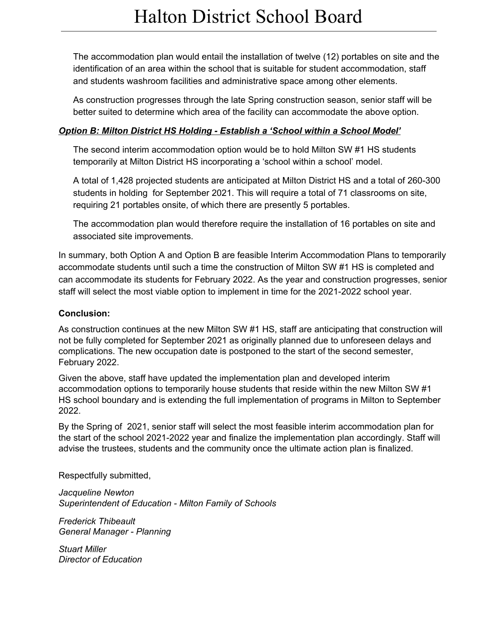The accommodation plan would entail the installation of twelve (12) portables on site and the identification of an area within the school that is suitable for student accommodation, staff and students washroom facilities and administrative space among other elements.

As construction progresses through the late Spring construction season, senior staff will be better suited to determine which area of the facility can accommodate the above option.

## *Option B: Milton District HS Holding - Establish a 'School within a School Model'*

The second interim accommodation option would be to hold Milton SW #1 HS students temporarily at Milton District HS incorporating a 'school within a school' model.

A total of 1,428 projected students are anticipated at Milton District HS and a total of 260-300 students in holding for September 2021. This will require a total of 71 classrooms on site, requiring 21 portables onsite, of which there are presently 5 portables.

The accommodation plan would therefore require the installation of 16 portables on site and associated site improvements.

In summary, both Option A and Option B are feasible Interim Accommodation Plans to temporarily accommodate students until such a time the construction of Milton SW #1 HS is completed and can accommodate its students for February 2022. As the year and construction progresses, senior staff will select the most viable option to implement in time for the 2021-2022 school year.

# **Conclusion:**

As construction continues at the new Milton SW #1 HS, staff are anticipating that construction will not be fully completed for September 2021 as originally planned due to unforeseen delays and complications. The new occupation date is postponed to the start of the second semester, February 2022.

Given the above, staff have updated the implementation plan and developed interim accommodation options to temporarily house students that reside within the new Milton SW #1 HS school boundary and is extending the full implementation of programs in Milton to September 2022.

By the Spring of 2021, senior staff will select the most feasible interim accommodation plan for the start of the school 2021-2022 year and finalize the implementation plan accordingly. Staff will advise the trustees, students and the community once the ultimate action plan is finalized.

Respectfully submitted,

*Jacqueline Newton Superintendent of Education - Milton Family of Schools*

*Frederick Thibeault General Manager - Planning*

*Stuart Miller Director of Education*